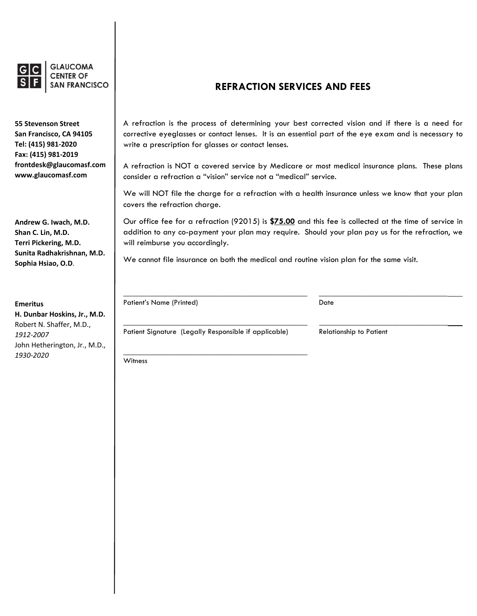

**GLAUCOMA SAN FRANCISCO** 

**55 Stevenson Street San Francisco, CA 94105 Tel: (415) 981‐2020 Fax: (415) 981‐2019 frontdesk@glaucomasf.com www.glaucomasf.com**

**Andrew G. Iwach, M.D. Shan C. Lin, M.D. Terri Pickering, M.D. Sunita Radhakrishnan, M.D. Sophia Hsiao, O.D**.

**Emeritus H. Dunbar Hoskins, Jr., M.D.** Robert N. Shaffer, M.D., *1912‐2007* John Hetherington, Jr., M.D., *1930‐2020*

## **REFRACTION SERVICES AND FEES**

A refraction is the process of determining your best corrected vision and if there is a need for corrective eyeglasses or contact lenses. It is an essential part of the eye exam and is necessary to write a prescription for glasses or contact lenses.

A refraction is NOT a covered service by Medicare or most medical insurance plans. These plans consider a refraction a "vision" service not a "medical" service.

We will NOT file the charge for a refraction with a health insurance unless we know that your plan covers the refraction charge.

Our office fee for a refraction (92015) is **\$75.00** and this fee is collected at the time of service in addition to any co-payment your plan may require. Should your plan pay us for the refraction, we will reimburse you accordingly.

\_\_\_\_\_\_\_\_\_\_\_\_\_\_\_\_\_\_\_\_\_\_\_\_\_\_\_\_\_\_\_\_\_\_\_\_\_\_\_\_\_\_\_ \_\_\_\_\_\_\_\_\_\_\_\_\_\_\_\_\_\_\_\_\_\_\_\_\_\_\_\_\_\_

We cannot file insurance on both the medical and routine vision plan for the same visit.

**\_\_\_\_\_\_\_\_\_\_\_\_\_\_\_\_\_\_\_\_\_\_\_\_\_\_\_\_\_\_\_\_\_\_\_\_\_\_\_\_\_\_\_ \_\_\_\_\_\_\_\_\_\_\_\_\_\_\_\_\_\_\_\_\_\_\_\_\_\_\_\_\_\_**  Patient's Name (Printed) Date

Patient Signature (Legally Responsible if applicable) Relationship to Patient

\_\_\_\_\_\_\_\_\_\_\_\_\_\_\_\_\_\_\_\_\_\_\_\_\_\_\_\_\_\_\_\_\_\_\_\_\_\_\_\_\_\_\_ Witness